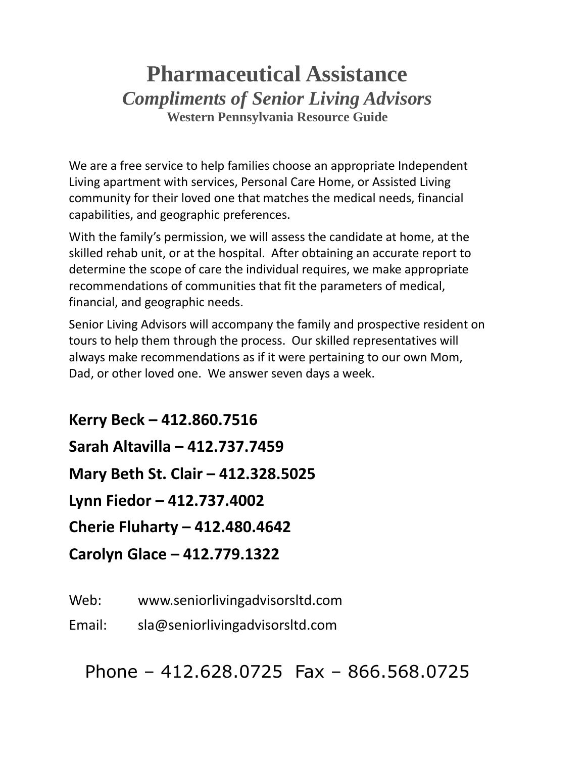# **Pharmaceutical Assistance** *Compliments of Senior Living Advisors* **Western Pennsylvania Resource Guide**

We are a free service to help families choose an appropriate Independent Living apartment with services, Personal Care Home, or Assisted Living community for their loved one that matches the medical needs, financial capabilities, and geographic preferences.

With the family's permission, we will assess the candidate at home, at the skilled rehab unit, or at the hospital. After obtaining an accurate report to determine the scope of care the individual requires, we make appropriate recommendations of communities that fit the parameters of medical, financial, and geographic needs.

Senior Living Advisors will accompany the family and prospective resident on tours to help them through the process. Our skilled representatives will always make recommendations as if it were pertaining to our own Mom, Dad, or other loved one. We answer seven days a week.

**Kerry Beck – 412.860.7516 Sarah Altavilla – 412.737.7459 Mary Beth St. Clair – 412.328.5025 Lynn Fiedor – 412.737.4002 Cherie Fluharty – 412.480.4642 Carolyn Glace – 412.779.1322**

Web: www.seniorlivingadvisorsltd.com

Email: sla@seniorlivingadvisorsltd.com

Phone – 412.628.0725 Fax – 866.568.0725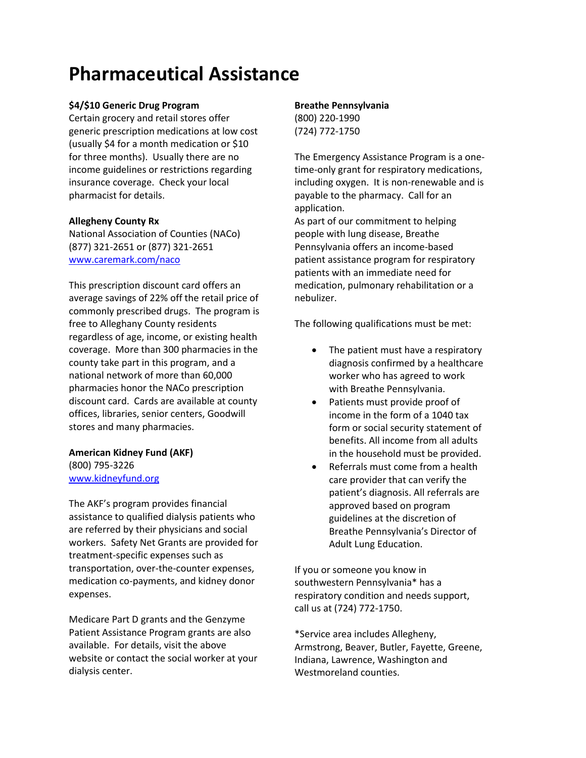# **Pharmaceutical Assistance**

# **\$4/\$10 Generic Drug Program**

Certain grocery and retail stores offer generic prescription medications at low cost (usually \$4 for a month medication or \$10 for three months). Usually there are no income guidelines or restrictions regarding insurance coverage. Check your local pharmacist for details.

# **Allegheny County Rx**

National Association of Counties (NACo) (877) 321-2651 or (877) 321-2651 [www.caremark.com/naco](http://www.caremark.com/naco)

This prescription discount card offers an average savings of 22% off the retail price of commonly prescribed drugs. The program is free to Alleghany County residents regardless of age, income, or existing health coverage. More than 300 pharmacies in the county take part in this program, and a national network of more than 60,000 pharmacies honor the NACo prescription discount card. Cards are available at county offices, libraries, senior centers, Goodwill stores and many pharmacies.

# **American Kidney Fund (AKF)**

(800) 795-3226 [www.kidneyfund.org](http://www.kidneyfund.org/)

The AKF's program provides financial assistance to qualified dialysis patients who are referred by their physicians and social workers. Safety Net Grants are provided for treatment-specific expenses such as transportation, over-the-counter expenses, medication co-payments, and kidney donor expenses.

Medicare Part D grants and the Genzyme Patient Assistance Program grants are also available. For details, visit the above website or contact the social worker at your dialysis center.

# **Breathe Pennsylvania**

(800) 220-1990 (724) 772-1750

The Emergency Assistance Program is a onetime-only grant for respiratory medications, including oxygen. It is non-renewable and is payable to the pharmacy. Call for an application.

As part of our commitment to helping people with lung disease, Breathe Pennsylvania offers an income-based patient assistance program for respiratory patients with an immediate need for medication, pulmonary rehabilitation or a nebulizer.

The following qualifications must be met:

- The patient must have a respiratory diagnosis confirmed by a healthcare worker who has agreed to work with Breathe Pennsylvania.
- Patients must provide proof of income in the form of a 1040 tax form or social security statement of benefits. All income from all adults in the household must be provided.
- Referrals must come from a health care provider that can verify the patient's diagnosis. All referrals are approved based on program guidelines at the discretion of Breathe Pennsylvania's Director of Adult Lung Education.

If you or someone you know in southwestern Pennsylvania\* has a respiratory condition and needs support, call us at (724) 772-1750.

\*Service area includes Allegheny, Armstrong, Beaver, Butler, Fayette, Greene, Indiana, Lawrence, Washington and Westmoreland counties.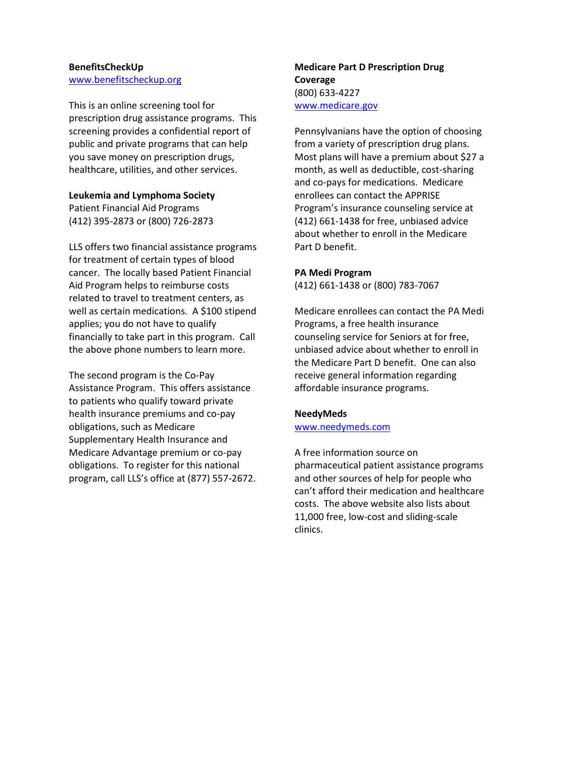#### **BenefitsCheckUp** [www.benefitscheckup.org](http://www.benefitscheckup.org/)

This is an online screening tool for prescription drug assistance programs. This screening provides a confidential report of public and private programs that can help you save money on prescription drugs, healthcare, utilities, and other services.

# **Leukemia and Lymphoma Society**

Patient Financial Aid Programs (412) 395-2873 or (800) 726-2873

LLS offers two financial assistance programs for treatment of certain types of blood cancer. The locally based Patient Financial Aid Program helps to reimburse costs related to travel to treatment centers, as well as certain medications. A \$100 stipend applies; you do not have to qualify financially to take part in this program. Call the above phone numbers to learn more.

The second program is the Co-Pay Assistance Program. This offers assistance to patients who qualify toward private health insurance premiums and co-pay obligations, such as Medicare Supplementary Health Insurance and Medicare Advantage premium or co-pay obligations. To register for this national program, call LLS's office at (877) 557-2672.

# **Medicare Part D Prescription Drug Coverage** (800) 633-4227 [www.medicare.gov](http://www.medicare.gov/)

Pennsylvanians have the option of choosing from a variety of prescription drug plans. Most plans will have a premium about \$27 a month, as well as deductible, cost-sharing and co-pays for medications. Medicare enrollees can contact the APPRISE Program's insurance counseling service at (412) 661-1438 for free, unbiased advice about whether to enroll in the Medicare Part D benefit.

# **PA Medi Program**

(412) 661-1438 or (800) 783-7067

Medicare enrollees can contact the PA Medi Programs, a free health insurance counseling service for Seniors at for free, unbiased advice about whether to enroll in the Medicare Part D benefit. One can also receive general information regarding affordable insurance programs.

# **NeedyMeds**

[www.needymeds.com](http://www.needymeds.com/)

A free information source on pharmaceutical patient assistance programs and other sources of help for people who can't afford their medication and healthcare costs. The above website also lists about 11,000 free, low-cost and sliding-scale clinics.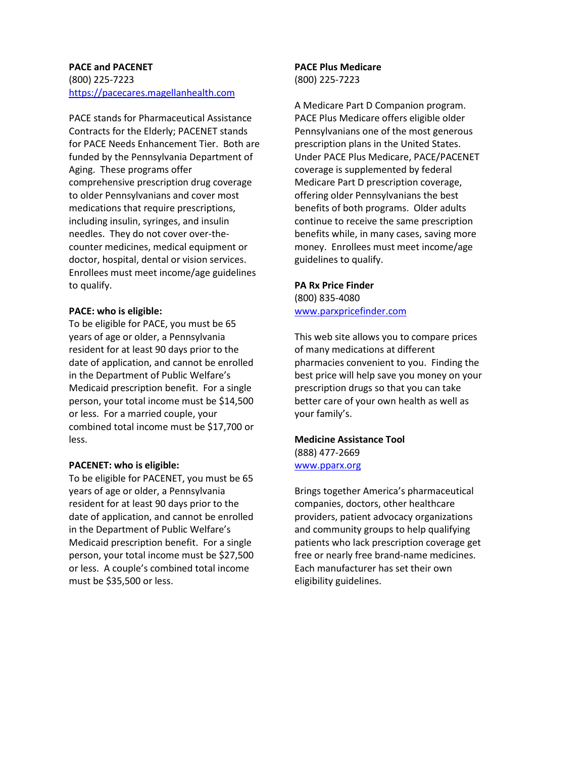#### **PACE and PACENET**

(800) 225-7223 [https://pacecares.magellanhealth.com](https://pacecares.magellanhealth.com/)

PACE stands for Pharmaceutical Assistance Contracts for the Elderly; PACENET stands for PACE Needs Enhancement Tier. Both are funded by the Pennsylvania Department of Aging. These programs offer comprehensive prescription drug coverage to older Pennsylvanians and cover most medications that require prescriptions, including insulin, syringes, and insulin needles. They do not cover over-thecounter medicines, medical equipment or doctor, hospital, dental or vision services. Enrollees must meet income/age guidelines to qualify.

#### **PACE: who is eligible:**

To be eligible for PACE, you must be 65 years of age or older, a Pennsylvania resident for at least 90 days prior to the date of application, and cannot be enrolled in the Department of Public Welfare's Medicaid prescription benefit. For a single person, your total income must be \$14,500 or less. For a married couple, your combined total income must be \$17,700 or less.

# **PACENET: who is eligible:**

To be eligible for PACENET, you must be 65 years of age or older, a Pennsylvania resident for at least 90 days prior to the date of application, and cannot be enrolled in the Department of Public Welfare's Medicaid prescription benefit. For a single person, your total income must be \$27,500 or less. A couple's combined total income must be \$35,500 or less.

#### **PACE Plus Medicare** (800) 225-7223

A Medicare Part D Companion program. PACE Plus Medicare offers eligible older Pennsylvanians one of the most generous prescription plans in the United States. Under PACE Plus Medicare, PACE/PACENET coverage is supplemented by federal Medicare Part D prescription coverage, offering older Pennsylvanians the best benefits of both programs. Older adults continue to receive the same prescription benefits while, in many cases, saving more money. Enrollees must meet income/age guidelines to qualify.

# **PA Rx Price Finder**

(800) 835-4080 [www.parxpricefinder.com](http://www.parxpricefinder.com/)

This web site allows you to compare prices of many medications at different pharmacies convenient to you. Finding the best price will help save you money on your prescription drugs so that you can take better care of your own health as well as your family's.

# **Medicine Assistance Tool** (888) 477-2669

[www.pparx.org](http://www.pparx.org/)

Brings together America's pharmaceutical companies, doctors, other healthcare providers, patient advocacy organizations and community groups to help qualifying patients who lack prescription coverage get free or nearly free brand-name medicines. Each manufacturer has set their own eligibility guidelines.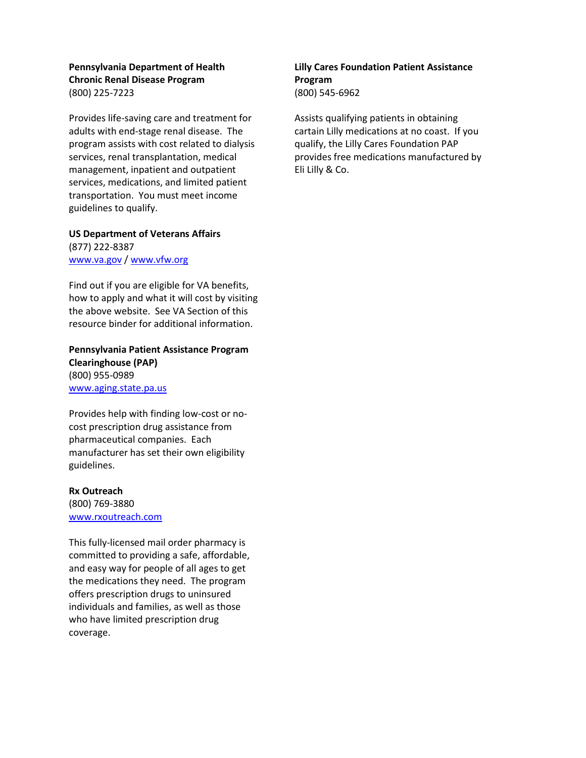# **Pennsylvania Department of Health Chronic Renal Disease Program** (800) 225-7223

Provides life-saving care and treatment for adults with end-stage renal disease. The program assists with cost related to dialysis services, renal transplantation, medical management, inpatient and outpatient services, medications, and limited patient transportation. You must meet income guidelines to qualify.

**US Department of Veterans Affairs**  (877) 222-8387 [www.va.gov](http://www.va.gov/) [/ www.vfw.org](http://www.vfw.org/)

Find out if you are eligible for VA benefits, how to apply and what it will cost by visiting the above website. See VA Section of this resource binder for additional information.

**Pennsylvania Patient Assistance Program Clearinghouse (PAP)** (800) 955-0989 [www.aging.state.pa.us](http://www.aging.state.pa.us/)

Provides help with finding low-cost or nocost prescription drug assistance from pharmaceutical companies. Each manufacturer has set their own eligibility guidelines.

#### **Rx Outreach**

(800) 769-3880 [www.rxoutreach.com](http://www.rxoutreach.com/)

This fully-licensed mail order pharmacy is committed to providing a safe, affordable, and easy way for people of all ages to get the medications they need. The program offers prescription drugs to uninsured individuals and families, as well as those who have limited prescription drug coverage.

# **Lilly Cares Foundation Patient Assistance Program** (800) 545-6962

Assists qualifying patients in obtaining cartain Lilly medications at no coast. If you qualify, the Lilly Cares Foundation PAP provides free medications manufactured by Eli Lilly & Co.